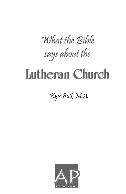# What the Rible says about the

# **Lutheran Church**

Kyle Butt, M.A.

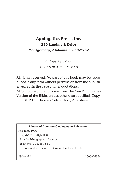### **Apologetics Press, Inc. 230 Landmark Drive Montgomery, Alabama 36117-2752**

© Copyright 2005 ISBN: 978-0-932859-83-9

All rights reserved. No part of this book may be reproduced in any form without permission from the publisher, except in the case of brief quotations.

All Scripture quotations are from The New King James Version of the Bible, unless otherwise specified. Copyright © 1982, Thomas Nelson, Inc., Publishers.



280—dc22 2005926366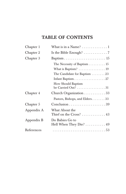### **TABLE OF CONTENTS**

| Chapter 1  | What is in a Name? $\dots\dots\dots\dots\dots$                 |
|------------|----------------------------------------------------------------|
| Chapter 2  | Is the Bible Enough? $\ldots \ldots \ldots \ldots$ 7           |
| Chapter 3  |                                                                |
|            | The Necessity of Baptism 15                                    |
|            | What is Baptism?  19                                           |
|            | The Candidate for Baptism 23                                   |
|            | Infant Baptism. $\ldots \ldots \ldots \ldots \ldots \ldots 27$ |
|            | How Should Baptism<br>be Carried Out?  31                      |
| Chapter 4  | Church Organization $\ldots \ldots \ldots 33$                  |
|            | Pastors, Bishops, and Elders33                                 |
| Chapter 5  |                                                                |
| Appendix A | What About the<br>Thief on the Cross?  43                      |
| Appendix B | Do Babies Go to<br>Hell When They Die? 49                      |
| References |                                                                |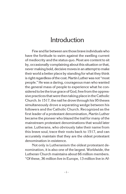### Introduction

Few and far between are those brave individuals who have the fortitude to swim against the swelling current of mediocrity and the status quo. Most are content to sit by, occasionally complaining about this situation or that, never making bold, decisive moves in an attempt to make their world a better place by standing for what they think is right regardless of the cost. Martin Luther was not "most people." He was a daring, courageous man who wanted the general mass of people to experience what he considered to be the true grace of God, free from the oppressive practices that were then taking place in the Catholic Church. In 1517, the nail he drove through his 95 theses simultaneously drove a separating wedge between his followers and the Catholic Church. Recognized as the first leader of a protestant denomination, Martin Luther became the pioneer who blazed the trail for many of the mainstream protestant denominations that would later arise. Lutherans, who obviously take their name from this brave soul, trace their roots back to 1517, and can accurately maintain that they are the oldest protestant denomination in existence.

Not only is Lutheranism the oldest protestant denomination, it is also one of the largest. Worldwide, the Lutheran Church maintains about 66 million members. "Of these, 36 million live in Europe, 13 million live in Af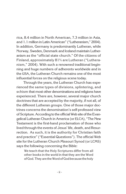rica, 8.4 million in North American, 7.3 million in Asia, and 1.1 million in Latin American" ("Lutheranism," 2004). In addition, Germany is predominantly Lutheran, while Norway, Sweden, Denmark and Iceland maintain Lutheranism as the "official state church." Of the citizens of Finland, approximately 81% are Lutheran ("Lutheranism," 2004). With such a renowned traditional beginning and huge numbers of adherents worldwide and in the USA, the Lutheran Church remains one of the most influential forces on the religious scene today.

Through the years, the Lutheran Church has experienced the same types of divisions, splintering, and schism that most other denominations and religions have experienced. There are, however, several major church doctrines that are accepted by the majority, if not all, of the different Lutheran groups. One of those major doctrines concerns the denomination's self-professed view of Scripture. According to the official Web site of the Evangelical Lutheran Church in America (or ELCA), "The New Testament is the first-hand proclamation of those who lived through the events of Jesus' life, death, and Resurrection. As such, it is the authority for Christian faith and practice" ("Essential Questions"). The official Web site for the Lutheran Church Missouri Synod (or LCMS) says the following concerning the Bible:

We teach that the Holy Scriptures differ from all other books in the world in that they are the Word of God. They are theWord of God because the holy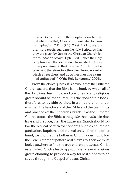men of God who wrote the Scriptures wrote only that which the Holy Ghost communicated to them by inspiration, 2 Tim. 3:16; 2 Pet. 1:21.... We furthermore teach regarding the Holy Scriptures that they are given by God to the Christian Church for the foundation of faith, Eph. 2:20. Hence the Holy Scriptures are the sole source from which all doctrines proclaimed in the Christian Church must be taken and therefore, too, the sole rule and norm by which all teachers and doctrines must be examined and judged" ("Of the Holy Scriptures," 2004).

From the above quotes, it is obvious that the Lutheran Church asserts that the Bible is the book by which all of the doctrines, teachings, and practices of any religious group should be measured. It is the goal of this book, therefore, to lay side by side, in a sincere and honest manner, the teachings of the Bible and the teachings and practices of the Lutheran Church. If, as the Lutheran Church states, the Bible is the guide that leads it in doctrine and practice, then the Lutheran Church should follow the biblical pattern for concepts such as church organization, baptism, and biblical unity. If, on the other hand, we find that the Lutheran Church does not follow the New Testament pattern as it claims to, then we must look elsewhere to find the true church that Jesus Christ established. Such a test is appropriate for every religious group claiming to provide a way for lost sinners to be saved through the Gospel of Jesus Christ.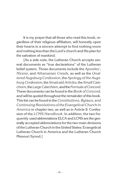It is my prayer that all those who read this book, regardless of their religious affiliation, will honestly open their hearts in a sincere attempt to find nothing more and nothing less than the Lord's church and His plan for the salvation of mankind.

[As a side note, the Lutheran Church accepts several documents as "true declarations" of the Lutheran belief system. Those documents include the *Apostles'*, *Nicene*, and *Athanasian Creeds*, as well as the *Unaltered Augsburg Confession*, the *Apology of the Augsburg Confession*,the*Smalcald Articles*,the*Small Catechism*,the*LargeCatechism*, and the*Formula of Concord*. These documents can be found in the *Book of Concord*, and will be quoted throughout the remainder of this book. This list can be found in the *Constitutions, Bylaws, and Continuing Resolutions of the Evangelical Church in America* in chapter two, as well as in Article II: Confession of the *LCMS Handbook*. In addition, the two frequently used abbreviations ELCA and LCMS are the generally accepted abbreviations for the two main divisions of the Lutheran Church in the United States: Evangelical Lutheran Church in America and the Lutheran Church Missouri Synod.]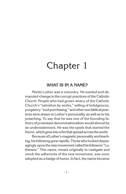## Chapter 1

#### **WHAT IS IN A NAME?**

Martin Luther was a visionary. He wanted and demanded change in the corrupt practices of the Catholic Church. People who had grown weary of the Catholic Church's "salvation by works," selling of indulgences, purgatory "soul-purchasing," and other non-biblical practices were drawn to Luther's personality as well as to his preaching. To say that he was one of the founding fathers of protestant denominationalism would almost be an understatement. He was the spark that started the flame, which grew into afire that spread across theworld.

Because of Luther's magnetic personality and teaching, his following grew rapidly. Those who looked disparagingly upon the new movement called his followers "Lutherans." This name, meant originally to castigate and mock the adherents of the new movement, was soon adopted as a badge of honor. In fact, the name became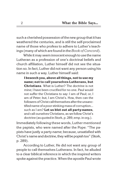such a cherished possession of the new group that it has weathered the centuries, and is still the self-proclaimed name of those who profess to adhere to Luther's teachings (many of which are found in the*Book of Concord*).

While it may seem innocent enough to use the name Lutheran as a profession of one's doctrinal beliefs and church affiliation, Luther himself did not see the situation so. In fact, Luther did not want any person using his name in such a way. Luther himself said:

**I beseech you, above all things, not to use my name; not to call yourselves Lutherans, but Christians**. What is Luther? The doctrine is not mine; I have been crucified for no one. Paul would not suffer the Christians to say: I am of Paul; or, I am of Peter; but, I am Christ's. How, then can the followers of Christ call themselves after the unsanctified name of a poor stinking mass of corruption... such as I am? **Let us blot out all party-names**, and call ourselves Christians, as we follow Christ's doctrine (as quoted in Stork, p. 289, emp. in org.).

Immediately following these words, Luther mentioned the papists, who were named after the Pope: "The papists have justly a party-name; because, unsatisfied with Christ's name and doctrine, theywill be popish too" (Stork, p. 289).

According to Luther, He did not want any group of people to call themselves Lutherans. In fact, he alluded to a clear biblical reference in which the inspired writers spoke against the practice. When the apostle Paul wrote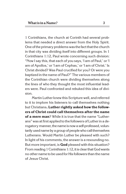1 Corinthians, the church at Corinth had several problems that needed a direct answer from the Holy Spirit. One of the primary problems wasthe fact that the church in that city was dividing itself into different groups. In 1 Corinthians 1:12, Paul wrote concerning such division: "Now I say this, that each of you says, 'I am of Paul,' or 'I am of Apollos,' or 'I am of Cephas,' or 'I am of Christ.' Is Christ divided? Was Paul crucified for you? Or were you baptized in the name of Paul?" The various members of the Corinthian church were dividing themselves along the lines of who they thought the most influential leaders were. Paul confronted and rebuked this idea of division.

Martin Luther knew this Scripture well, and referred to it to implore his listeners to call themselves nothing but Christians**. Luther rightly asked how the followers of Christ could call themselves after the name of a mere man**? While it is true that the name "Lutherans" was at first applied to the followers of Luther in a derogatory manner, the name is now a self-professed, voluntarily used name by a group of people who call themselves Lutherans. Would Martin Luther be pleased with such? In light of his comments, the answer is a resounding no. But more important, is **God** pleased with this situation? From reading 1Corinthians 1:12, it is clear that God wants no other name to be used for His followers than the name of Jesus Christ.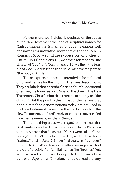Furthermore, we find clearly depicted on the pages of the New Testament the idea of scriptural names for Christ's church, that is, names for both the church itself and names for individual members of that church. In Romans 16:16, we find the expression "churches of Christ." In 1 Corinthians 1:2, we have a reference to "the church of God." In 1 Corinthians 3:16, we find "the temple of God." And in Ephesians 4:12, we have the phrase "the body of Christ."

These expressions are not intended to be technical or formal names for the church. They are descriptions. They are labels that describe Christ's church. Additional ones may be found as well. Most of the time in the New Testament, Christ's church is referred to simply as "the church." But the point is this: most of the names that people attach to denominations today are not used in the New Testament to describe the Lord's church. In the New Testament, the Lord's body or church is never called by a man's name other than Christ's.

The same thing is true with regard to the names that God wants individual Christians to wear. In the New Testament, we read that followers of Christ were called Christians (Acts 11:26). In Romans 1:7, we find the term "saints," and in Acts 5:14 we find the term "believer" applied to Christ's followers. In other passages, we find the word "disciple," or familial names like "brother." Yet, we never read of a person being called a Pauline Christian, or an Apollonian Christian, nor do we read that any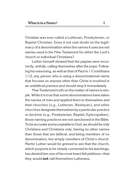Christian was ever called a Lutheran, Presbyterian, or Baptist Christian. Does it not cast doubt on the legitimacy of a denomination when the names it uses are not names used in the New Testament for either the Lord's church or individual Christians?

Luther himself showed that the papists were incorrectly, sinfully, calling themselves after the pope. Following his reasoning, as well as that of Paul in 1 Corinthians 1:12, any person who is using a denominational name that focuses on anyone other than Christ is involved in an unbiblical practice and should stop it immediately.

New Testament truth onthe matter of names is simple. While it is true that some denominations have taken the names of men and applied them to themselves and their churches (e.g., Lutheran, Wesleyan), and other churches designate themselves by a particular practice or doctrine (e.g., Presbyterian, Baptist, Episcopalian), those naming practices are not sanctioned in the Bible. To be accurate and acceptable to God, we should be only Christians and Christians only, having no other names than those that are biblical, and being members of no denomination, but simply members of Christ's church. Martin Luther would be grieved to see that the church, which purports to be closely connected to his teachings, has denied him one of his most heart-felt petitions—that they would **not** call themselves Lutherans.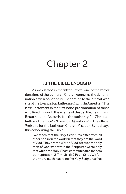# Chapter 2

#### **IS THE BIBLE ENOUGH?**

As was stated in the introduction, one of the major doctrines of the Lutheran Church concerns the denomination's view of Scripture. According to the official Web site of the Evangelical Lutheran Church in America, "The New Testament is the first-hand proclamation of those who lived through the events of Jesus' life, death, and Resurrection. As such, it is the authority for Christian faith and practice" ("Essential Questions"). The official Web site for the Lutheran Church Missouri Synod says this concerning the Bible:

We teach that the Holy Scriptures differ from all other books in the world in that they are the Word of God. They are theWord of God because the holy men of God who wrote the Scriptures wrote only that which the Holy Ghost communicated to them by inspiration, 2 Tim. 3:16; 2 Pet. 1:21…. We furthermore teach regarding the Holy Scriptures that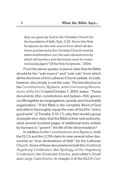they are given by God to the Christian Church for the foundation of faith, Eph. 2:20. Hence the Holy Scriptures are the sole source from which all doctrines proclaimed in the Christian Church must be taken and therefore, too, the sole rule and norm by which all teachers and doctrines must be examined and judged ("Of the Holy Scriptures," 2004).

From the above quotes, it seems clear that the Bible should be the "sole source" and "sole rule" from which all the doctrines of the Lutheran Church radiate. In truth, however, this simply is not the case. The Introduction to the*Constitutions, Bylaws, and Continuing Resolutions of the ELCA* dated October 7, 2003, states: "These documents (the constitutions and bylaws—KB) govern our lifetogether as congregations, synods, and churchwide organization." If the Bible is the complete Word of God and able to thoroughly equip the man of God for "every good work" (2 Timothy 3:16-17), why then would a group of people who claim that the Bible is their sole authority, need several hundred pages of additional texts written by humans to "govern" the life of the denomination?

In addition to the *Constitutions and Bylaws*, both the ELCA and the LCMS claim to view several other documents as "true declarations of faith" for the Lutheran Church. Some of those documents include the*Unaltered Augsburg Confession*, the *Apology of the Augsburg Confession*, the *Smalcald Articles*, and Luther's *Small*  and *Large Catechisms*. In chapter 2 of the ELCA *Con-*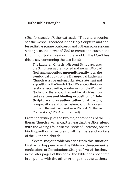*stitution*, section 7, the text reads: "This church confesses the Gospel, recorded in the Holy Scripture and confessed in the ecumenical creeds and Lutheran confessional writings, as the power of God to create and sustain the Church for God's mission in the world." The LCMS has this to say concerning the text listed:

The Lutheran Church-Missouri Synod accepts the Scriptures as the inspired and inerrant Word of God, and subscribes **unconditionally** to all the symbolical books of the Evangelical Lutheran Church as atrue and unadulterated statement and exposition of the Word of God. We accept the Confessions because they are drawn from the Word of God and on that account regard their doctrinal content as a **true and binding exposition of Holy Scripture and as authoritative** for all pastors, congregations and other rostered church workers of The Lutheran Church—Missouri Synod ("Lutheran Confessions," 2004, emp. added).

From the writings of the two major branches of the Lutheran Church in America, it is clear that the Bible, **along with** the writings found in the *Book of Concord,* are the binding, authoritative rules for all members and workers of the Lutheran church.

Several major problems arise from this situation. First, what happens when the Bible and the ecumenical confessions or Constitutions disagree? As will be shown in the later pages of this book, the Bible does not agree in all points with the other writings that the Lutheran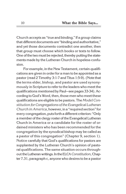Church accepts as "true and binding." If a group claims that different documents are "binding and authoritative," and yet those documents contradict one another, then that group must choose which books or texts to follow. One of the two must be rejected, thereby putting the statements made by the Lutheran Church in hopeless confusion.

For example, in the New Testament, certain qualifications are given in order for a man to be appointed as a pastor (read 2 Timothy 3:1-7 and Titus 1:5-9). (Note that the terms elder, bishop, and pastor are used synonymously in Scripture to refer to the leaders who meet the qualifications mentioned by Paul—see pages 33-34). According to God's Word, then, those men who meet these qualifications are eligible to be pastors. The *Model Constitution forCongregations of the Evangelical Lutheran Church in America*, however, in a "required section" for every congregation, puts forth a different criterion: "Only a member of the clergy roster of the Evangelical Lutheran Church in America or a candidate for the roster of ordained ministers who has been recommended for the congregation by the synodical bishop may be called as a pastor of this congregation" (Chapter 9, section 1). Notice carefully that God's qualifications for pastors are supplanted by the Lutheran Church's opinion of pastoral qualifications. The same situation occurs throughout the Lutheran writings. In theELCA *Constitution*,Chapter 7.31, paragraph c, anyone who desires to be a pastor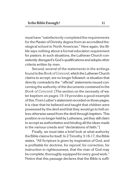must have "satisfactorily completed the requirements for the Master of Divinity degree from an accredited theological school in North American." Here again, the Bible says nothing about a formal education requirement for pastors. In such situations, the Lutheran Church consistently disregard's God's qualifications and adopts other criteria written by men.

Second, several of the statements in the writings found inthe*Book of Concord*,which the Lutheran Church claims to accept, are no longer followed—a situation that directly contradicts the "official" statements issued concerning the authority of the documents contained in the *Book of Concord*. [The section on the necessity of water baptism on pages 15-19 provides a good example of this. From Luther's statement recorded on those pages, it is clear that he believed and taught that children were possessed by the devil and that they would go to hell unless otherwise saved from the devil through baptism. This position is no longer held by Lutherans, yet they still claim to accept as authoritative and binding all the ideas made in the various creeds and "declarations of faith."]

Finally, we must take a brief look at what authority the Bible claims for itself. In 2 Timothy 3:16-17, the Bible states, "All Scripture is given by inspiration of God, and is profitable for doctrine, for reproof, for correction, for instruction in righteousness, that the man of God may be complete, thoroughly equipped for every good work." Notice that this passage declares that the Bible is suffi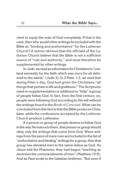cient to equip the man of God completely. If that is the case, then why would other writings be included with the Bible as "binding and authoritative" for the Lutheran Church? It seems obvious that the officials of the Lutheran Church believe that the Bible is not a sufficient source of "rule and authority," and must therefore be supplemented by other writings.

In Jude, we read an exhortation forChristians to "contend earnestly for the faith which was once for all delivered to the saints" (Jude 3). In 2 Peter 1:3, we read that during Peter's day, God had given the Christians "all things that pertain to life and godliness." The Scriptures need no supplementation or additions to "help" a group of people follow God. In fact, from the first century on, people were following God according to His will without the writings found in the *Book of Concord*. What can be concluded from this fact is that the Bible produces Christians, while the confessions accepted by the Lutheran Church produce Lutherans.

If a person or group of people desires to follow God in the way He instructs them, that person or group should obey only the writings that come from God. When writings from the pens of mere men are included in the list of "authoritative and binding" writings for a group, then that group has elevated men to the same status as God. As Jesus told the Pharisees, they had begun "teaching as doctrines the commandments of men" (Matthew 15:9). And as Paul wrote to the Galatian brethren: "But even if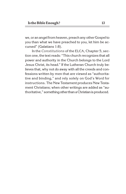we, or an angel from heaven, preach any other Gospel to you than what we have preached to you, let him be accursed" (Galatians 1:8).

In the *Constitutions* of the ELCA, Chapter 5, section one, the text reads: "This church recognizes that all power and authority in the Church belongs to the Lord Jesus Christ, its head." If the Lutheran Church truly believes that, why not do away with all the creeds and confessions written by men that are viewed as "authoritative and binding," and rely solely on God's Word for instructions. The New Testament produces New Testament Christians; when other writings are added as "authoritative," something other than a Christian is produced.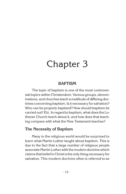# Chapter 3

### **BAPTISM**

The topic of baptism is one of the most controversial topics within Christendom. Various groups, denominations, and churches teach a multitude of differing doctrines concerning baptism. Is it necessary for salvation? Who can be properly baptized? How should baptism be carried out? Etc. In regard to baptism, what does the Lutheran Church teach about it, and how does that teaching compare with what the New Testament teaches?

### **The Necessity of Baptism**

Many in the religious world would be surprised to learn what Martin Luther taught about baptism. This is due to the fact that a large number of religious people associate Martin Luther with the modern doctrine which claims that belief in Christ is the only thing necessary for salvation. This modern doctrine often is referred to as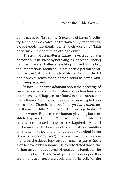being saved by "faith only." Since one of Luther's defining teachings was salvation by "faith only," modern religious people mistakenly identify their version of "faith only" with Luther's version of "faith only."

The truth of the matter is, Luther never taught that a person could be saved by believing in God without being baptized in water. Luther's teaching focused on the fact that meritorious works could not **earn** a person salvation, as the Catholic Church of his day taught. He did not, however, teach that a person could be saved without being baptized.

In fact, Luther was adamant about the necessity of water baptism for salvation. Many of his teachings on the necessity of baptism are found in documents that the Lutheran Church continues to claim as accepted doctrines of the Church. In Luther's *Large Catechism*, under the section titled "Fourth Part: Concerning Baptism," Luther wrote: "Baptism is no human plaything but is instituted by God Himself. Moreover, it is solemnly and strictly commanded that we must be baptized or we shall not be saved, so that we are not to regard it as an indifferent matter, like putting on a red coat" (as cited in the *Book ofConcord*, p. 457). It is clear from Luther's comments that he viewed baptism as an essential part of God's plan to save sinful humans. He clearly stated that a sinful human cannot be saved without being baptized. The Lutheran church **historically** has acknowledged this statement as an accurate declaration of its belief on the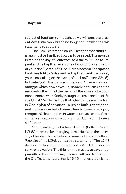subject of baptism (although, as we will see, the present-day Lutheran Church no longer acknowledges this statement as accurate).

The New Testament, as well, teaches that sinful humans must be baptized in order to be saved. The apostle Peter, on the day of Pentecost, told the multitude to "repent and be baptized everyone of you for the remission of your sins" (Acts 2:38). Saul, who became the apostle Paul, was told to "arise and be baptized, and wash away your sins, calling on the name of the Lord" (Acts 22:16). In 1 Peter 3:21, the inspired writer said: "There is also an antitype which now saves us, namely baptism (not the removal of the filth of the flesh, but the answer of a good conscience toward God), through the resurrection of Jesus Christ." While it is true that other things are involved in God's plan of salvation—such as faith, repentance, and confession—the Lutheran Church at one time rightly recognized that baptism in water is just as essential to a sinner's salvation as any other part of God's plan to save sinful man.

Unfortunately, the Lutheran Church (both ELCA and LCMS) seems to be changing its beliefs about the necessity of baptism for salvation of sinners. From the official Web site of the LCMS comes this statement: "The LCMS does not believe that baptism is ABSOLUTELY necessary for salvation. The thief on the cross was saved (apparently without baptism), as were all true believers in the Old Testament era. Mark 16:16 implies that it is not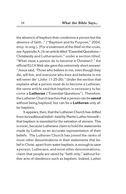the absence of baptism that condemns a person but the absence of faith…" ("Baptism and Its Purpose," 2004, emp. in orig.). [For a treatment of the thief on the cross, see Appendix A.] In an article titled "Essential Questions-Christianity and Lutheranism," under a section titled, "What must a person do to become a Christian?," the officialELCA Web site gave this extremely short answer: "Jesus said, 'Those who believe in me, even though they die, will live, and everyone who lives and believes in me will never die' (John 11:25-26)." Under the section that explains what a person must do to become a Lutheran, the same article said that baptism is necessary to become a **Lutheran** ("Essential Questions"). Therefore, the Lutheran Church teaches that a person can be **saved**  without being baptized, but can be a **Lutheran** only after baptism.

It appears, then, that the Lutheran Church has drifted from its traditional belief—held by Martin Luther himself that baptism is essential for the salvation of sinners. This is ironic, because Lutherans claim to hold the statements made by Luther as an accurate representation of their beliefs. The Lutheran Church has joined the ranks of most other denominations in their statements that belief in Christ, apart from water baptism, is enough to save a person. Lutherans, and most other denominations, claim that people are saved by "faith only," without further acts of obedience such as baptism. Indeed, Luther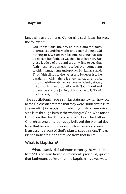faced similar arguments. Concerning such ideas, he wrote the following:

Our know-it-alls, the new spirits, claim that faith alone saves and that works and external things add nothing to it. We answer: It is true, nothing that is in us does it but faith, as we shall hear later on. But these leaders of the blind are unwilling to see that faith must have something to believe—something to which it may cling and upon which it may stand. Thus faith clings to the water and believes it to be baptism, in which there is sheer salvation and life, not through the water, as we have sufficiently stated, but through its incorporation with God's Word and ordinance and the joining of his name to it (*Book of Concord*, p. 460).

The apostle Paul made a similar statement when he wrote to the Colossian brethren that they were "buried with Him [Jesus—KB] in baptism, in which you also were raised with Him through faith inthe working of God, who raised Him from the dead" (Colossians 2:12). The Lutheran Church at one time correctly believed the biblical doctrine that baptism precedes the forgiveness of sins and is an essential part of God's plan to save sinners. The evidence indicates it has strayed from that belief.

#### **What is Baptism?**

What, exactly, do Lutherans mean by the word "baptism"? It is obvious from the statements previously quoted that Lutherans believe that the baptism involves water.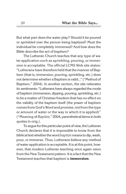But what part does the water play? Should it be poured or sprinkled over the person being baptized? Must the individual be completely immersed? And how does the Bible describe the act of baptism?

The Lutheran Church teaches that any type of water application such as sprinkling, pouring, or immersion is acceptable. The official LCMS Web site states: "Lutherans have therefore held that the manner of Baptism (that is, immersion, pouring, sprinkling, etc.) does not determine whether a Baptism is valid…" ("Method of Baptism," 2004). In another section, the site reiterates its sentiments: "Lutherans have always regarded the mode of baptism (immersion, dipping, pouring, sprinkling, etc.) to be a matter of Christian freedom that has no effect on the validity of the baptism itself (the power of baptism comes from God's Word and promise, not from the type or amount of water or the way in which it is applied)" ("Meaning of*Baptize,*" 2004, parenthetical items in both quotes in orig.).

To arque for this particular point of view, the Lutheran Church declares that it is impossible to know from the biblical textwhether theword*baptize* means to dip, wash, pour, or immerse. Thus, Lutherans believe any method of water application is acceptable. It is at this point, however, that modern Lutheran teaching once again veers from the New Testament pattern. It is a fact that the New Testament teaches that baptism is **immersion**.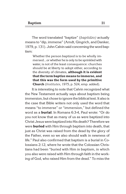The word translated "baptize" (*baptidzo)* actually means to "dip, immerse" (Arndt, Gingrich, and Danker, 1979, p. 131). John Calvin said concerning the word baptism:

Whether the person baptized is to be wholly immersed...or whether he is only to be sprinkled with water, is not of the least consequence: churches should be at liberty to adopt either, according to the diversity of climates, **although it is evident that the term baptize means to immerse, and that this was the form used by the primitive Church** (*Institutes*, 1975, p. 524, emp. added).

It is interesting to note that Calvin recognized what the New Testament actually says about baptism being immersion, but chose to ignore the biblical text. It also is the case that Bible writers not only used the word that means "to immerse" or "immersion," but defined the word as a **burial**. In Romans 6:3-4, Paul wrote: "Or do you not know that as many of us as were baptized into Christ Jesus were baptized into His death? Therefore we were **buried** with Him through baptism into death, that just as Christ was raised from the dead by the glory of the Father, even so we also should walk in newness of life." Paul also confirmed that baptism is a burial in Colossians 2:12, where he wrote that the Colossian Christians had been "buried with Him in baptism, in which you also were raised with Him through faith in the working of God, who raised Him from the dead." To miss the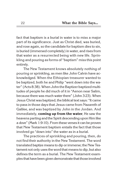fact that baptism is a burial in water is to miss a major part of its significance. Just as Christ died, was buried, and rose again, so the candidate for baptism dies to sin, is buried (immersed completely) in water, and rises from that water as a resurrected being with new life. Sprinkling and pouring as forms of "baptism" miss this point entirely.

The New Testament knows absolutely nothing of pouring or sprinkling, as men like John Calvin have acknowledged. When the Ethiopian treasurer wanted to be baptized, both he and Philip "went down into the water" (Acts 8:38). When John the Baptizer baptized multitudes of people he did much of it in "Aenon near Salim, because there was much water there" (John 3:23). When Jesus Christ was baptized, the biblical text says: "It came to pass in those days that Jesus came from Nazareth of Galilee, and was baptized by John in the Jordan. And immediately, **coming up from the water**, He saw the heavens parting and the Spirit descending upon Him like a dove" (Mark 1:9-10). From these verses it can be proven that New Testament baptism entails the fact that those involved go "down into" the water as in a burial.

The practices of sprinkling and pouring, then, do not find their authority in the New Testament. The word translated baptize means to dip or immerse; the New Testament not only uses the word that means to dip, but also defines the term as a burial. The New Testament examples that have been given demonstrate that those involved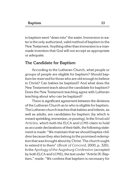in baptism went "down into" the water. Immersion in water is the only authorized, valid method of baptism in the New Testament. Anything other than immersion is amanmade invention that God will not accept as appropriate or adequate.

#### **The Candidate for Baptism**

According to the Lutheran Church, what people or groups of people are eligible for baptism? Should baptism be reserved for those who are old enough to believe in Christ? Can babies be baptized? And what does the New Testament teach about the candidate for baptism? Does the New Testament teaching agree with Lutheran teaching about who can be baptized?

There is significant agreement between the divisions of the Lutheran Church as to who is eligible for baptism. The Lutheran church teaches that babies and infants, as well as adults, are candidates for baptism (by which is meant sprinkling, immersion, or pouring). In the*Smalcald Articles,* which both the ELCA and LCMS claim to hold as accurate declarations of their faith, the following statement is made: "We maintain that we should baptize children because they also belong to the promised redemption that was brought about by Christ. The church ought to extend it to them" (*Book of Concord*, 2000, p. 320). In the *Apology of the Augsburg Confession* (accepted by both ELCA and LCMS), the text under "Article IX: Baptism," reads: "We confess that baptism is necessary for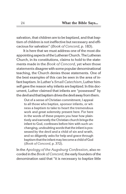salvation, that children are to be baptized, and that baptism of children is not ineffective but necessary and efficacious for salvation" (*Book of Concord*, p. 183).

It is here that we must address one of the most disappointing aspects of the Lutheran Church. The Lutheran Church, in its constitutions, claims to hold to the statements made in the *Book of Concord*, yet when those statements disagree with some popular denominational teaching, the Church denies those statements. One of the best examples of this can be seen in the area of infant baptism. In Luther's *Small Catechism*, Luther himself gave the reason why infants are baptized. In this document, Luther claimed that infants are "possessed" by the devil and that baptism drives the devil away from them.

Out of a sense of Christian commitment, I appeal to all those who baptize, sponsor infants, or witness a baptism to take to heart the tremendous work and great solemnity present here. For here in the words of these prayers you hear how plaintively and earnestly the Christian church brings the infant to God, confesses before him with such unchanging, undoubting words that the infant is possessed by the devil and a child of sin and wrath, and so diligently asks for help and grace through baptism that the infant may become a child of God (*Book of Concord*, p. 372).

In the *Apology of the Augsburg Confession*, also recorded in the *Book of Concord*, the early founders of the denomination said that "it is necessary to baptize little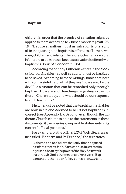children in order that the promise of salvation might be applied to them according to Christ's mandate [Matt. 28: 19], 'Baptize all nations.' Just as salvation is offered to all in that passage, so baptism is offered to all—men, women, children, and infants. Therefore it clearly follows that infants are to be baptized because salvation is offered with baptism" (*Book of Concord*, p. 184).

According to the early Lutheran writers in the *Book of Concord*, babies (as well as adults) must be baptized to be saved. According to these writings, babies are born with such a sinful nature that they are "possessed by the devil"—a situation that can be remedied only through baptism. How are such teachings regarding in the Lutheran Church today, and what should be our response to such teachings?

First, it must be noted that the teaching that babies are born in sin and doomed to hell if not baptized is incorrect (see Appendix B). Second, even though the Lutheran Church claims to hold to the statements in these documents, it then denies comparable statements in its current "official positions."

For example, on the official LCMS Web site, in an article titled "Baptism and Its Purpose," the text states:

Lutherans do not believe that only those baptized as infants receivefaith. Faith can also be created in a person's heart by the power of the Holy Spirit working through God's (written or spoken) word. Baptism should then soon follow conversion.... Mark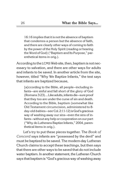16:16 implies that it is not the absence of baptism that condemns a person but the absence of faith, and there are clearly other ways of coming to faith by the power of the Holy Spirit (reading or hearing the Word of God) ("Baptism and Its Purpose," parenthetical items in orig.).

According to the LCMS Web site, then, baptism is not necessary to salvation, and there are other ways for adults and infants to be saved. In another article from the site, however, titled "Why We Baptize Infants," the text says that infants are baptized because,

[a]ccording to the Bible, all people-including infants—are sinful and fall short of the glory of God (Romans 3:23)…. Like adults, infants die—sure proof that they too are under the curse of sin and death. According to the Bible, baptism (somewhat like Old Testament circumcision, administered to 8 day-old-babies—see Col. 2:11-12) isGod's gracious way of washing away our sins—even the sins of infants—without any help or cooperation on our part ("Why do Lutherans Baptize Infants," 2004, parenthetical items in orig.).

Let's try to put these pieces together. The *Book of Concord* says infants are "possessed by the devil" and must be baptized to be saved. The modern-day Lutheran Church claims to accept these teachings, but then says that there are other ways to be saved that do not include water baptism. In another statement, the Lutheran Church says that baptism is "God's gracious way of washing away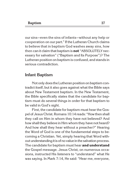our sins—even the sins of infants—without any help or cooperation on our part." If the Lutheran Church claims to believe that in baptism God washes away sins, how then can it claim that baptism is **not** "ABSOLUTELY necessary for salvation" ("Baptism and Its Purpose")? The Lutheran position on baptism is confused, and stands in serious contradiction.

#### **Infant Baptism**

Not only does the Lutheran position on baptism contradict itself, but it also goes against what the Bible says about New Testament baptism. In the New Testament, the Bible specifically states that the candidate for baptism must do several things in order for that baptism to be valid in God's sight.

First, the candidate for baptism must hear the Gospel of Jesus Christ. Romans 10:14 reads: "Howthen shall they call on Him in whom they have not believed? And how shall they believe in Him whom they have not heard? And how shall they hear without a preacher?" Hearing the Word of God is one of the fundamental steps to becoming a Christian. Yet, simply hearing that Word without understanding it is of no value in the salvation process. The candidate for baptism must hear **and understand**  the Gospel message. Jesus Christ, on numerous occasions, instructed His listeners to "understand" what He was saying. In Mark 7:14, He said: "Hear me, everyone,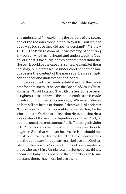and understand." In explaining the parable of the sower, one of the reasons those of the "wayside" soil did not obey was because they did not "understand" (Matthew 13:19). The New Testament knows nothing of baptizing any person who has not heard **and** understood the Gospel of Christ. Obviously, babies cannot understand the Gospel. It could be the case that someone would tell them the story, but infants would understand neither the language nor the content of the message. Babies simply cannot hear and understand the Gospel.

Second, the Bible clearly establishes that the candidate for baptism must believe the Gospel of Jesus Christ. Romans 10:10-11 states: "For with the heart one believes to righteousness, and with the mouth confession is made to salvation. For the Scripture says, 'Whoever believes on Him will not be put to shame.'" Hebrews 11:6 declares: "But without faith it is impossible to please Him, for he who comes to God must believe that He is, and that He is a rewarder of those who diligently seek Him." And, of course, one ofthemost famous "belief" passages is John 3:16: "For God so loved the world that He gave His only begotten Son, that whoever believes in Him should not perish but have everlasting life." The Bible clearly states that the candidate for baptism must believe that God exists, that Jesus is His Son, and that God is a rewarder of those who seek Him. An infant cannot believe these things, because a baby does not have the capacity even to understand them, much less believe them.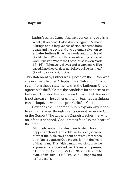Luther's*Small Catechism* saysconcerning baptism: What gifts or benefits does baptism grant? Answer: It brings about forgiveness of sins, redeems from death and the devil, and gives eternal salvation **to all who believe it,** as the words and promise of God declare. What are these words and promise of God? Answer: Where the Lord Christ says in Mark 16[:16], "Whoever believes and is baptized will be saved, but whoever does not believe will be damned" (*Book of Concord*, p. 359).

This statement by Luther was quoted on the LCMS Web site in an article titled "Baptism and Salvation." It would seem from these statements that the Lutheran Church agrees with the Bible that the candidate for baptism must believe in God and His Son Jesus Christ. That, however, is not the case. The Lutheran church teaches that infants can be baptized without a prior belief in Christ.

How does the Lutheran Church explain why it baptizes infants, even though infants cannot believe in God or the Gospel? The Lutheran Church teaches that when an infant is baptized, God "creates faith" in the heart of the infant.

Although we do not claim to understand how this happens or how it is possible, we believe (because of what the Bible says about baptism) that when an infant is baptized God creates faith in the heart of that infant. This faith cannot yet, of course, be expressed or articulated, yet it is real and present all the same (see e.g., Acts 2:38-39; Titus 3:5-6; Matt. 18:6; Luke 1:15; 2 Tim. 3:15) ("Baptism and its Purpose").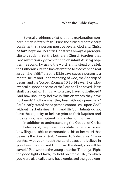Several problems exist with this explanation concerning an infant's "faith." First, the biblical record clearly confirms that a person must believe in God and Christ **before** baptism. Belief in Christ was always a prerequisite to baptism. Yet the Lutheran Church teaches that God mysteriously gives faith to an infant **during** baptism. Second, by using the word faith instead of belief, the Lutheran Church has attempted to sidestep the real issue. The "faith" that the Bible says saves a person is a mental belief and understanding of God, the Sonship of Jesus, andthe Gospel. Romans 10:13-14 says: "For 'whoever calls upon the name of the Lord shall be saved.' How shall they call on Him in whom they have not believed? And how shall they believe in Him on whom they have not heard? And how shall they hear without a preacher?" Paul clearly stated that a person cannot "call upon God" without first believing in Him and His Son. Infants do not have the capacity to believe prior to their baptism and thus cannot be scriptural candidates for baptism.

In addition to understanding the Gospel of Christ and believing it, the proper candidate for baptism must be willing and able to communicate his or her belief that Jesus **is** the Son of God. Romans 10:9 declares: "If you confess with your mouth the Lord Jesus and believe in your heart God raised Him from the dead, you will be saved." Paul wrote to the young preacher Timothy: "Fight the good fight of faith, lay hold on eternal life, to which you were also called and have confessed the good con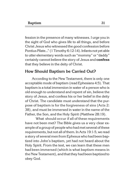fession in the presence of many witnesses. I urge you in the sight of God who gives life to all things, and before Christ Jesus who witnessed the good confession before Pontius Pilate…" (1 Timothy 6:12-14). Infants not yet able to utter elementary words such as "mommy" or "daddy" certainly cannot believe the story of Jesus and **confess**  that they believe in the deity of Christ.

#### **How Should Baptism be Carried Out?**

According to the New Testament, there is only one acceptable mode of baptism (read Ephesians 4:5). That baptism is a total immersion in water of a person who is old enough to understand and repent of sin, believe the story of Jesus, and confess his or her belief in the deity of Christ. The candidate must understand that the purpose of baptism is for the forgiveness of sins (Acts 2: 38), and must be immersed in water in the name of the Father, the Son, and the Holy Spirit (Matthew 28:19).

What should occur if all of these requirements have not been met? The Bible gives us a very clear example of a group of people who had met several of these requirements, but not all of them. In Acts 19:1-5, we read a story of several men from Ephesus who had been baptized into John's baptism, yet had not heard about the Holy Spirit. From the text, we can learn that these men had been immersed (which is what baptism means in the New Testament), and that they had been baptized to obey God.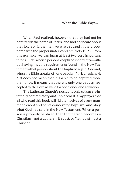When Paul realized, however, that they had not be baptized in the name of Jesus, and had not heard about the Holy Spirit, the men were re-baptized in the proper name with the proper understanding (Acts 19:5). From this example, we can learn at least two very important things. First, when a person is baptized incorrectly—without having met the requirements found in the New Testament—that person should be baptized again. Second, when the Bible speaks of "one baptism" in Ephesians 4: 5, it does not mean that it is a sin to be baptized more than once. It means that there is only one baptism accepted bythe Lord as valid for obedience and salvation.

The Lutheran Church's positions on baptism are internally contradictory and unbiblical. It is my prayer that all who read this book will rid themselves of every manmade creed and belief concerning baptism, and obey what God has said in the New Testament. When a person is properly baptized, then that person becomes a Christian—not a Lutheran, Baptist, or Methodist—just a Christian.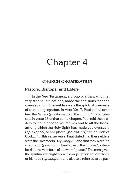# Chapter 4

### **CHURCH ORGANIZATION**

#### **Pastors, Bishops, and Elders**

In the New Testament, a group of elders, who met very strict qualifications, made the decisions for each congregation. These elders were the spiritual overseers of each congregation. In Acts 20:17, Paul called unto him the "elders (*presbuteroi*) of the church" from Ephesus. In verse 28 of that same chapter, Paul told these elders to "take heed to yourselves and to all the flock, among which the Holy Spirit has made you overseers (*episkopoi)*, to shepherd (*poimaino* ) the church of God...." In this same verse, Paul stated that these elders were the "overseers" (*episkopoi*) and that they were "to shepherd" (*poimaino*). Paul's use of the phrase "to shepherd" is the verb form of our word "pastor." The men given the spiritual oversight of each congregation are overseers or bishops (*episkopoi*), and also are referred to as pas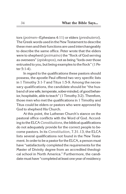tors (*poimen*—Ephesians 4:11) or elders (*presbuteroi*). The Greek words used in the New Testament to describe these men and their functions are used interchangeably to describe the same office. Peter wrote that the elders were to shepherd (*poimaino*) the "flock of God serving as overseers" (*episkopos*), not as being "lords over those entrusted to you, but being examples to the flock" (1 Peter 5:1-4).

In regard to the qualifications these pastors should possess, the apostle Paul offered two very specific lists in 1 Timothy 3:1-7 and Titus 1:5-9. Among the necessary qualifications, the candidate should be "the husband of one wife, temperate, sober-minded, of good behavior, hospitable, able to teach" (1 Timothy 3:2). Therefore, those men who met the qualifications in 1 Timothy and Titus could be elders or pastors who were approved by God to shepherd His Church.

At this point, the Lutheran Church's stance on the pastoral office conflicts with the Word of God. According to the ELCA*Constitutions*, the biblical qualifications do not adequately provide for the correct people to become pastors. In its *Constitution*, 7.31.13, the ELCA lists several qualifications not found in the New Testament. In order to be a pastor for the ELCA, a person must have "satisfactorily completed the requirements for the Master of Divinity degree from an accredited theological school in North America." Furthermore, the candidate must have "completed at least one year of residency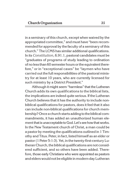in a seminary of this church, except when waived by the appropriated committee," and must have "been recommended for approval by the faculty of a seminary of this church." The LCMS has similar additional qualifications. In its *Constitution*, 6.91.1, pastoral candidates must be "graduates of programs of study leading to ordination of no less than 60 semester hours or the equivalent therefore," or in "exceptional cases" be "laymen who have carried out the full responsibilities of the pastoral ministry for at least 10 years, who are currently licensed for such ministry by a District President."

Although it might seem "harmless" that the Lutheran Church adds its own qualifications to the biblical lists, the implications are indeed quite serious. If the Lutheran Church believes that it has the authority to include nonbiblical qualifications for pastors, does it feel that it also can include non-biblical qualifications for church membership? Once a church starts adding to the biblical commandments, it has added an unauthorized human element that isunacceptable to God. Let's see howthat works. In the New Testament church of Christ, a man could be a pastor by meeting the qualifications outlined in 1 Timothy and Titus. Peter, in fact, listed himself as an elder or pastor (1 Peter 5:1-3). Yet, in the twenty-first-century Lutheran Church, the biblical qualifications are not considered sufficient, and so others have been added. Therefore, those early Christians who were appointed as pastors and elders would not be eligible in modern-day Lutheran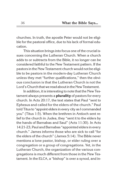churches. In truth, the apostle Peter would not be eligible for the pastoral office, due to his lack of formal education.

This situation brings into focus one of the crucial issues concerning the Lutheran Church. When a church adds to or subtracts from the Bible, it no longer can be considered faithful to the New Testament pattern. If the pastors in the New Testament church would not be eligible to be pastors in the modern-day Lutheran Church unless they met "further qualifications," then the obvious conclusion is that the Lutheran Church is not the Lord's Church that we read about in the New Testament.

In addition, it is interesting to note that the New Testament always presents a **plurality** of pastors for every church. In Acts 20:17, the text states that Paul "sent to Ephesus and called for the elders of the church." Paul told Titus to "appoint elders in every city as I commanded you" (Titus 1:5). When the brethren in Antioch sent relief to the church in Judea, they "sent it to the elders by the hands of Barnabas and Saul" (Acts 11:30). In Acts 14:21-23, Paul and Barnabas "appointed elders in every church." James informs those who are sick to call "for the elders of the church" (James 5:14). The Bible never mentions a lone pastor, bishop, or elder ruling over a congregation or a group of congregations. Yet, in the Lutheran Church, the organization of the various congregations is much different from those in the New Testament. In the ELCA, a "bishop" is over a synod, and in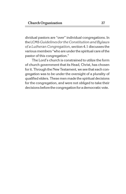dividual pastors are "over" individual congregations. In the LCMS *Guidelines for the Constitution and Bylaws of a Lutheran Congregation*, section 4.1 discusses the various members "who are under the spiritual care of the pastor of this congregation."

The Lord's church is constrained to utilize the form of church government that its Head, Christ, has chosen for it. Through the New Testament, we see that each congregation was to be under the oversight of a plurality of qualified elders. These men made the spiritual decisions for the congregation, and were not obliged to take their decisions before the congregation for a democratic vote.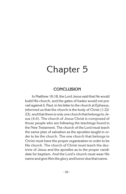# Chapter 5

#### **CONCLUSION**

In Matthew 16:18, the Lord Jesus said that He would build His church, and the gates of hades would not prevail against it. Paul, in his letter to the church at Ephesus, informed us that the church is the body of Christ (1:22- 23), and that there is only one church that belongs to Jesus (4:4). The church of Jesus Christ is composed of those people who are following the teachings found in the New Testament. The church of the Lord must teach the same plan of salvation as the apostles taught in order to be the church. The one church that belongs to Christ must have the proper organization in order to be His church. The church of Christ must teach the doctrine of Jesus and the apostles as to the proper candidate for baptism. And the Lord's church must wear His name and give Him the glory and honor due that name.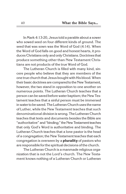In Mark 4:13-20, Jesus told a parable about a sower who sowed seed on four different kinds of ground. The seed that was sown was the Word of God (4:14). When the Word of God falls on good and honest hearts, it produces Christians only and only Christians. Doctrines that produce something other than New Testament Christians are not products of the true Word of God.

The Lutheran Church is filled with many kind, sincere people who believe that they are members of the one true church that Jesus bought with His blood. When their basic doctrines are compared to the New Testament, however, the two stand in opposition to one another on numerous points. The Lutheran Church teaches that a person can be saved before water baptism; the New Testament teaches that a sinful person must be immersed in waterto be saved. The Lutheran Church uses the name of Luther, while the New Testament teaches that such denominational division is wrong. The Lutheran Church teaches that texts and documents besides the Bible are "authoritative" and"binding;" the New Testament teaches that only God's Word is authoritative and binding. The Lutheran Church teaches that a lone pastor is the head of a congregation; the New Testament teaches that each congregation is overseen by a **plurality** of pastors who are responsible forthe spiritual decisions of the church.

The Lutheran Church is a manmade religious organization that is not the Lord's church. The New Testament knows nothing of a Lutheran Church or Lutheran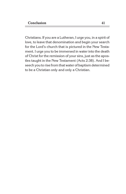Christians. If you are a Lutheran, I urge you, in a spirit of love, to leave that denomination and begin your search for the Lord's church that is pictured in the New Testament. I urge you to be immersed in water into the death of Christ for the remission of your sins, just as the apostles taught in the New Testament (Acts 2:38). And I beseech you to rise from that water of baptism determined to be a Christian only and only a Christian.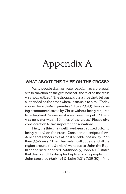# Appendix A

### **WHAT ABOUT THE THIEF ON THE CROSS?**

Many people dismiss water baptism as a prerequisite to salvation on the grounds that "the thief on the cross was not baptized." The thought is that since the thief was suspended on the cross when Jesus said to him, "Today you will be with Me in paradise" (Luke 23:43), he was being pronounced saved by Christ without being required to be baptized. As one well-known preacher put it, "There was no water within 10 miles of the cross." Please give consideration to two important observations.

First, the thief may well have been baptized **prior** to being placed on the cross. Consider the scriptural evidence that renders this at least a viable possibility. Matthew 3:5-6 says, "Then Jerusalem, all Judea, and all the region around the Jordan" went out to John the Baptizer and were baptized. Additionally, John 4:1-2 states that Jesus and His disciples baptized more people than John (see also Mark 1:4-5; Luke 3:21; 7:29-30). If the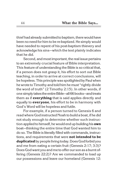thief had already submitted to baptism, there would have been no need for him to be re-baptized. He simply would have needed to repent of his post-baptism thievery and acknowledge his sins—which the text plainly indicates that he did.

Second, and most important, the real issue pertains to an extremely crucial feature of Bible interpretation. This feature of understanding the Bible is so critical that, if a person does not grasp it, his effort to sort out Bible teaching, in order to arrive at correct conclusions, will be hopeless. This principle was spotlighted by Paul when he wrote to Timothy and told him he must "rightly divide" the word of truth" (2 Timothy 2:15). In other words, if one simplytakes the entire Bible—all 66 books—and treats them as if **ever ything** that is said applies directly and equally to **ever yone**, his effort to be in harmony with God's Word will be hopeless and futile.

For example, if a person turned to Genesis 6 and read where God instructed Noah to build a boat, if he did not study enough to determine whether such instruction applied to himself, he would end up building his **own**  boat—thinking the entire time that God wanted him to do so. The Bible is literally filled with commands, instructions, and requirements that were **not intended to be duplicated** by people living today. Does God forbid you and me from eating a certain fruit (Genesis 2:17; 3:3)? Does God want you and me to offer our son as a burnt offering (Genesis 22:2)? Are we commanded to load up our possessions and leave our homeland (Genesis 12: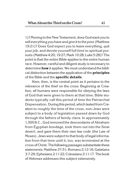1)? Moving tothe New Testament, does God want youto sell everything you have and give it to the poor (Matthew 19:21)? Does God expect you to leave everything, quit your job, and devote yourself full time to spiritual pursuits (Matthew 4:20; 19:27; Mark 10:28; Luke 5:28)? The point is that the entire Bible applies to the entire human race. However, careful and diligent study is necessary to determine **how** it applies. We must understand the biblical distinction between the application of the **principles**  of the Bible and the **specific details**.

Here, then, is the central point as it pertains to the relevance of the thief on the cross: Beginning at Creation, all humans were responsible for obeying the laws of God that were given to them at that time. Bible students typically call this period of time the Patriarchal Dispensation. During this period, which lasted from Creation to roughly the time of the cross, non-Jews were subject to a body of legislation passed down by God through the fathers of family clans. In approximately 1,500 B.C., God removed the descendants of Abraham from Egyptian bondage, took them out into the Sinai desert, and gave them their own law code (the Law of Moses). Jews were subject to that body of legal information from that time until it, too, was terminated at the cross of Christ. The following passages substantiate these statements: Matthew 27:51; Romans 2:12-16; Galatians 3:7-29; Ephesians 2:11-22; Colossians 2:11-17. The book of Hebrews addresses this subject extensively.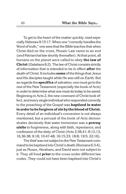To get to the heart of the matter quickly, read especiallyHebrews 9:15-17. When one "correctly handles the Word of truth," one sees that the Bible teaches that when Christ died on the cross, Mosaic Law came to an end (and Patriarchal law shortly thereafter). At that point, all humans on the planet were called to obey **the law of Christ** (Galatians 6:2). The law of Christ consists strictly of information that is intended to be in effect **after** the death of Christ. It includes **some** of thethings that Jesus and His disciples taught while He was still on Earth. But as regards the **specifics** of salvation, one must go to the rest of the New Testament (especially the book of Acts) in order to determine what one must do today to be saved. Beginning in Acts 2, the new covenant of Christ took effect, and every single individual who responded correctly to the preaching of the Gospel was **baptized in water in order to be forgiven of sin by the blood of Christ.**  Every detail of an individual's conversion is not always mentioned, but a perusal of the book of Acts demonstrates decisively that water immersion was a **prerequisite** to forgiveness, along with faith, repentance, and confession of the deity of Christ (Acts 2:38,41; 8:12,13, 16,36-38; 9:18; 10:47-48; 16:15,33; 18:8; 19:5; 22:16).

The thief was not subject to the New Testament command to be baptized into Christ's death (Romans 6:3-4), just as Moses, Abraham, and David were not subject to it. They all lived **prior** to the cross under different law codes. They could not have been baptized into Christ's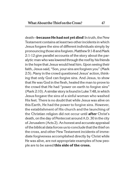death-**because He had not yet died**! In truth, the New Testament contains at least two other incidents in which Jesus forgave the sins of different individuals simply by pronouncing those sins forgiven. Matthew 9:1-8 and Mark 2:1-12 give parallel accounts of the story about the paralytic man who was lowered through the roof by his friends in the hope that Jesus would heal him. Upon seeing their faith, Jesus said, "Son, your sins are forgiven you" (Mark 2:5). Many in the crowd questioned Jesus' action, thinking that only God can forgive sins. And Jesus, to show that He was God in the flesh, healed the man to prove to the crowd that He had "power on earth to forgive sins" (Mark 2:10). A similar story isfound in Luke 7:48, in which Jesus forgave the sins of a sinful woman who washed His feet. There is no doubt that while Jesus was alive on this Earth, He had the power to forgive sins. However, the establishment of His church and the launching of the Christian religion did not occur until **after** Christ's death, on the day of Pentecost around A.D. 30 in the city of Jerusalem (Acts 2). An honest and accurate appraisal of the biblical data forces us to conclude that thethief on the cross, and other New Testament incidents of immediate forgiveness accomplished directly by Christ while He was alive, are not appropriate examples of how people are to be saved **this side of the cross.**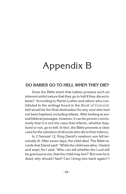# Appendix B

#### **DO BABIES GO TO HELL WHEN THEY DIE?**

Does the Bible teach that babies possess such an inherent sinful nature that they go to hell if they die as infants? According to Martin Luther and others who contributed to the writings found in the *Book of Concord*, hell would be the final destination for any soul who had not been baptized, including infants. After looking at several biblical passages, however, it can be proven conclusively that it is not the case that infants, whether baptized or not, go to hell. In fact, the Bible presents a clear case forthe salvation of all souls who die in their infancy.

In 2 Samuel 12, King David's newborn son fell terminally ill. After seven days, the child died. The Bible records that David said: "While the child was alive, I fasted and wept; for I said, 'Who can tell whether the Lord will be gracious to me, that the child may live?' But now he is dead; why should I fast? Can I bring him back again? I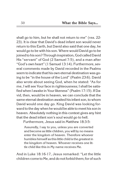shall go to him, but he shall not return to me" (vss. 22- 23). It is clear that David's dead infant son would never return to this Earth, but David also said that one day, he would go to be with his son. Where would David go to be joined to his son? Through inspiration, God called David His "servant" of God (2 Samuel 7:5), and a man after "God's own heart" (1 Samuel 13:14). Furthermore, several comments made by David recorded in the Psalms seem to indicate that his own eternal destination was going to be "in the house of the Lord" (Psalm 23:6). David also wrote about seeing God, when he stated: "As for me, I will see Your face in righteousness; I shall be satisfied when I awake in Your likeness" (Psalm 17:15). If David, then, would be in heaven, we can conclude that the same eternal destination awaited his infant son, to whom David would one day go. King David was looking forward tothe day when he would be able to meet his son in heaven. Absolutely nothing in this context gives any hint that the dead infant son's soul would go to hell.

Furthermore, Jesus said in Matthew 18:3-5:

Assuredly, I say to you, unless you are converted and become as little children, you will by no means enter the kingdom of heaven. Therefore whoever humbles himself as this little child is the greatest in the kingdom of heaven. Whoever receives one little child like this in My name receives Me.

And in Luke 18:16-17, Jesus remarked: "Let the little children come to Me, and do not forbid them; for of such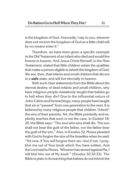is the kingdom of God. Assuredly, I say to you, whoever does not receive the kingdom of God as a little child will by no means enter it."

Therefore, we have been given a specific example in the Old Testament of an infant who died and would live forever in heaven. And Jesus Christ Himself, in the New Testament, stated that little children retain the qualities that make a person eligible to inherit the kingdom of God. We see, then, that infants and small children that die are in a **safe** state, and will live eternally in heaven.

With such clear statements from the Bible about the eternal destiny of dead infants and small children, why have religious people mistakenly taught that babies go to hell when they die? Due to the influential nature of John Calvin and histeachings, many people havetaught that sin is "passed" from one generation to the next. It is believed by many religious people that children "inherit" the sins of their parents. Yet, the Bible pointedly and explicitly teaches that such is not the case. In Ezekiel 18: 20, the Bible says: "The soul who sins shall die. The son shall not bear the guilt of the father, nor the father bear the guilt of the son." Also, in Exodus 32, Moses pleaded with God to forgive the sins of the Israelites when he said: "Yet now, if You will forgive their sin—but if not, I pray, blot me out of Your book which You have written. And the Lord said to Moses, 'Whoever has sinned against Me, I will blot him out of My book'" (Exodus 32:32-33). The Bible is plain in its teaching that babies do not inherit the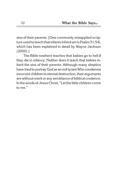sins of their parents. [One commonly misapplied scripture used to teach that infants inherit sin is Psalm 51:5-6, which has been explained in detail by Wayne Jackson (2000).]

The Bible nowhere teaches that babies go to hell if they die in infancy. Neither does it teach that babies inherit the sins of their parents. Although many skeptics have tried to portray God as an evil tyrant Who condemns innocent children to eternal destruction, their arguments are without merit or any semblance of biblical credence. In the words of Jesus Christ, "Let the little children come to me."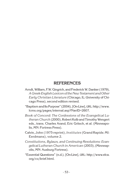#### **REFERENCES**

- Arndt, William, F.W. Gingrich, and Frederick W. Danker (1979), *A Greek-English Lexicon of theNew Testament and Other Early Christian Literature* (Chicago, IL: University of Chicago Press), second edition revised.
- "Baptism and Its Purpose" (2004), [On-Line], URL: http://www. lcms.org/pages/internal.asp?NavID=2607.
- *Book of Concord*: *The Confessions of the Evangelical Lutheran Church* (2000), Robert Kolb and TimothyWengert eds., trans. Charles Arand, Eric Gritsch, et al. (Minneapolis, MN: Fortress Press).
- Calvin, John (1975 reprint), *Institutes* (Grand Rapids: MI: Eerdmans), volume 2.
- *Constitutions, Bylaws, and Continuing Resolutions: Evangelical Lutheran Church in American* (2003), (Minneapolis, MN: Ausburg Fortress).
- "Essential Questions" (n.d.), [On-Line], URL: http://www.elca. org/co/brief.html.